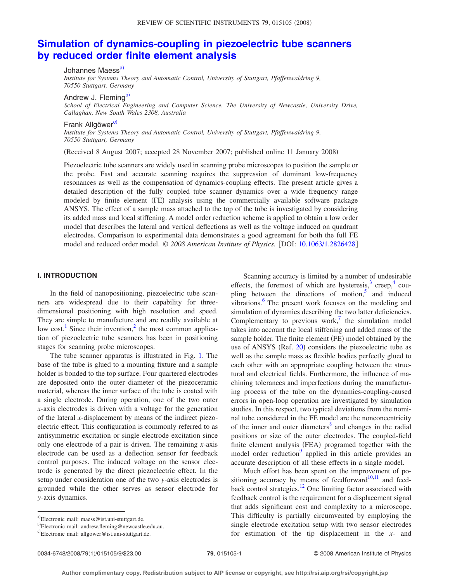# **[Simulation of dynamics-coupling in piezoelectric tube scanners](http://dx.doi.org/10.1063/1.2826428) [by reduced order finite element analysis](http://dx.doi.org/10.1063/1.2826428)**

Johannes Maess<sup>a)</sup> *Institute for Systems Theory and Automatic Control, University of Stuttgart, Pfaffenwaldring 9, 70550 Stuttgart, Germany*

Andrew J. Fleming<sup>b)</sup> *School of Electrical Engineering and Computer Science, The University of Newcastle, University Drive, Callaghan, New South Wales 2308, Australia*

Frank Allgöwer<sup>c)</sup>

*Institute for Systems Theory and Automatic Control, University of Stuttgart, Pfaffenwaldring 9, 70550 Stuttgart, Germany*

(Received 8 August 2007; accepted 28 November 2007; published online 11 January 2008)

Piezoelectric tube scanners are widely used in scanning probe microscopes to position the sample or the probe. Fast and accurate scanning requires the suppression of dominant low-frequency resonances as well as the compensation of dynamics-coupling effects. The present article gives a detailed description of the fully coupled tube scanner dynamics over a wide frequency range modeled by finite element (FE) analysis using the commercially available software package ANSYS. The effect of a sample mass attached to the top of the tube is investigated by considering its added mass and local stiffening. A model order reduction scheme is applied to obtain a low order model that describes the lateral and vertical deflections as well as the voltage induced on quadrant electrodes. Comparison to experimental data demonstrates a good agreement for both the full FE model and reduced order model.  $\odot$  2008 American Institute of Physics. [DOI: [10.1063/1.2826428](http://dx.doi.org/10.1063/1.2826428)]

#### **I. INTRODUCTION**

In the field of nanopositioning, piezoelectric tube scanners are widespread due to their capability for threedimensional positioning with high resolution and speed. They are simple to manufacture and are readily available at low cost.<sup>1</sup> Since their invention,<sup>2</sup> the most common application of piezoelectric tube scanners has been in positioning stages for scanning probe microscopes.

The tube scanner apparatus is illustrated in Fig. [1.](#page-1-0) The base of the tube is glued to a mounting fixture and a sample holder is bonded to the top surface. Four quartered electrodes are deposited onto the outer diameter of the piezoceramic material, whereas the inner surface of the tube is coated with a single electrode. During operation, one of the two outer *x*-axis electrodes is driven with a voltage for the generation of the lateral *x*-displacement by means of the indirect piezoelectric effect. This configuration is commonly referred to as antisymmetric excitation or single electrode excitation since only one electrode of a pair is driven. The remaining *x*-axis electrode can be used as a deflection sensor for feedback control purposes. The induced voltage on the sensor electrode is generated by the direct piezoelectric effect. In the setup under consideration one of the two *y*-axis electrodes is grounded while the other serves as sensor electrode for *y*-axis dynamics.

Scanning accuracy is limited by a number of undesirable effects, the foremost of which are hysteresis, $3$  creep,  $4$  coupling between the directions of motion, $5$  and induced vibrations.<sup>6</sup> The present work focuses on the modeling and simulation of dynamics describing the two latter deficiencies. Complementary to previous work, $\prime$  the simulation model takes into account the local stiffening and added mass of the sample holder. The finite element (FE) model obtained by the use of ANSYS (Ref. [20](#page-8-7)) considers the piezoelectric tube as well as the sample mass as flexible bodies perfectly glued to each other with an appropriate coupling between the structural and electrical fields. Furthermore, the influence of machining tolerances and imperfections during the manufacturing process of the tube on the dynamics-coupling-caused errors in open-loop operation are investigated by simulation studies. In this respect, two typical deviations from the nominal tube considered in the FE model are the nonconcentricity of the inner and outer diameters<sup>8</sup> and changes in the radial positions or size of the outer electrodes. The coupled-field finite element analysis (FEA) programed together with the model order reduction<sup>9</sup> applied in this article provides an accurate description of all these effects in a single model.

Much effort has been spent on the improvement of positioning accuracy by means of feedforward $10,11$  $10,11$  and feedback control strategies.<sup>12</sup> One limiting factor associated with feedback control is the requirement for a displacement signal that adds significant cost and complexity to a microscope. This difficulty is partially circumvented by employing the single electrode excitation setup with two sensor electrodes for estimation of the tip displacement in the *x*- and

<span id="page-0-0"></span>a)Electronic mail: maess@ist.uni-stuttgart.de.

<span id="page-0-1"></span>b)Electronic mail: andrew.fleming@newcastle.edu.au.

<span id="page-0-2"></span>c)Electronic mail: allgower@ist.uni-stuttgart.de.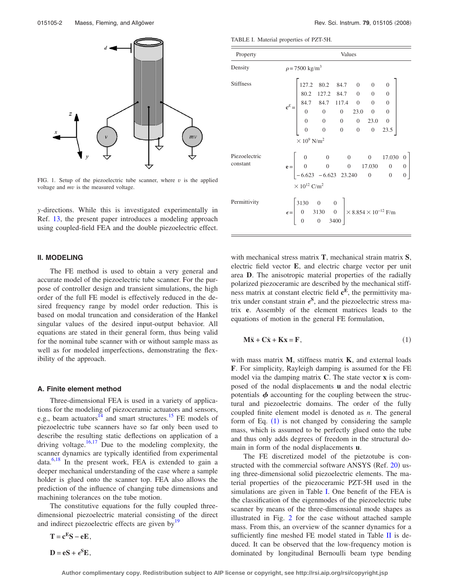<span id="page-1-0"></span>

FIG. 1. Setup of the piezoelectric tube scanner, where  $v$  is the applied voltage and *mv* is the measured voltage.

*y*-directions. While this is investigated experimentally in Ref. [13,](#page-8-13) the present paper introduces a modeling approach using coupled-field FEA and the double piezoelectric effect.

## **II. MODELING**

The FE method is used to obtain a very general and accurate model of the piezoelectric tube scanner. For the purpose of controller design and transient simulations, the high order of the full FE model is effectively reduced in the desired frequency range by model order reduction. This is based on modal truncation and consideration of the Hankel singular values of the desired input-output behavior. All equations are stated in their general form, thus being valid for the nominal tube scanner with or without sample mass as well as for modeled imperfections, demonstrating the flexibility of the approach.

#### **A. Finite element method**

Three-dimensional FEA is used in a variety of applications for the modeling of piezoceramic actuators and sensors, e.g., beam actuators<sup>14</sup> and smart structures.<sup>15</sup> FE models of piezoelectric tube scanners have so far only been used to describe the resulting static deflections on application of a driving voltage. $\frac{16,17}{2}$  $\frac{16,17}{2}$  $\frac{16,17}{2}$  Due to the modeling complexity, the scanner dynamics are typically identified from experimental data.<sup>6[,18](#page-8-18)</sup> In the present work, FEA is extended to gain a deeper mechanical understanding of the case where a sample holder is glued onto the scanner top. FEA also allows the prediction of the influence of changing tube dimensions and machining tolerances on the tube motion.

The constitutive equations for the fully coupled threedimensional piezoelectric material consisting of the direct and indirect piezoelectric effects are given by<sup>19</sup>

 $T = e^{E}S - eE$ .

$$
\mathbf{D} = \mathbf{e}\mathbf{S} + \boldsymbol{\epsilon}^{\mathbf{S}}\mathbf{E},
$$

<span id="page-1-2"></span>TABLE I. Material properties of PZT-5H.

| Property                  | Values                                                                                                                                                                                                                                                                                                   |  |  |  |  |  |
|---------------------------|----------------------------------------------------------------------------------------------------------------------------------------------------------------------------------------------------------------------------------------------------------------------------------------------------------|--|--|--|--|--|
| Density                   | $\rho$ = 7500 kg/m <sup>3</sup>                                                                                                                                                                                                                                                                          |  |  |  |  |  |
| <b>Stiffness</b>          | $\mathbf{c}^E = \left[ \begin{array}{cccccc} 127.2 & 80.2 & 84.7 & 0 & 0 & 0 \\ 80.2 & 127.2 & 84.7 & 0 & 0 & 0 \\ 84.7 & 84.7 & 117.4 & 0 & 0 & 0 \\ 0 & 0 & 0 & 23.0 & 0 & 0 \\ 0 & 0 & 0 & 0 & 23.0 & 0 \\ 0 & 0 & 0 & 0 & 0 & 23.5 \end{array} \right]$<br>$\times$ 10 <sup>9</sup> N/m <sup>2</sup> |  |  |  |  |  |
| Piezoelectric<br>constant | $\mathbf{e} = \begin{bmatrix} 0 & 0 & 0 & 0 & 17.030 & 0 \\ 0 & 0 & 0 & 17.030 & 0 & 0 \\ -6.623 & -6.623 & 23.240 & 0 & 0 & 0 \end{bmatrix}$<br>$\times$ 10 <sup>12</sup> C/m <sup>2</sup>                                                                                                              |  |  |  |  |  |
| Permittivity              | $\epsilon = \begin{bmatrix} 3130 & 0 & 0 \\ 0 & 3130 & 0 \\ 0 & 0 & 3400 \end{bmatrix} \times 8.854 \times 10^{-12}$ F/m                                                                                                                                                                                 |  |  |  |  |  |

with mechanical stress matrix **T**, mechanical strain matrix **S**, electric field vector **E**, and electric charge vector per unit area **D**. The anisotropic material properties of the radially polarized piezoceramic are described by the mechanical stiffness matrix at constant electric field  $\mathbf{c}^{\mathbf{E}}$ , the permittivity matrix under constant strain  $\epsilon^S$ , and the piezoelectric stress matrix **e**. Assembly of the element matrices leads to the equations of motion in the general FE formulation,

<span id="page-1-1"></span>
$$
\mathbf{M}\ddot{\mathbf{x}} + \mathbf{C}\dot{\mathbf{x}} + \mathbf{K}\mathbf{x} = \mathbf{F},\tag{1}
$$

with mass matrix **M**, stiffness matrix **K**, and external loads **F**. For simplicity, Rayleigh damping is assumed for the FE model via the damping matrix **C**. The state vector **x** is composed of the nodal displacements **u** and the nodal electric potentials  $\phi$  accounting for the coupling between the structural and piezoelectric domains. The order of the fully coupled finite element model is denoted as *n*. The general form of Eq.  $(1)$  $(1)$  $(1)$  is not changed by considering the sample mass, which is assumed to be perfectly glued onto the tube and thus only adds degrees of freedom in the structural domain in form of the nodal displacements **u**.

The FE discretized model of the pietzotube is con-structed with the commercial software ANSYS (Ref. [20](#page-8-7)) using three-dimensional solid piezoelectric elements. The material properties of the piezoceramic PZT-5H used in the simulations are given in Table [I.](#page-1-2) One benefit of the FEA is the classification of the eigenmodes of the piezoelectric tube scanner by means of the three-dimensional mode shapes as illustrated in Fig. [2](#page-2-0) for the case without attached sample mass. From this, an overview of the scanner dynamics for a sufficiently fine meshed FE model stated in Table [II](#page-2-1) is deduced. It can be observed that the low-frequency motion is dominated by longitudinal Bernoulli beam type bending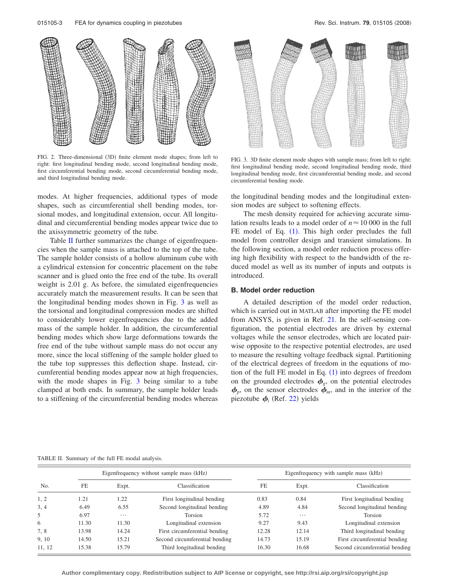<span id="page-2-0"></span>

FIG. 2. Three-dimensional (3D) finite element mode shapes; from left to right: first longitudinal bending mode, second longitudinal bending mode, first circumferential bending mode, second circumferential bending mode, and third longitudinal bending mode.

modes. At higher frequencies, additional types of mode shapes, such as circumferential shell bending modes, torsional modes, and longitudinal extension, occur. All longitudinal and circumferential bending modes appear twice due to the axissymmetric geometry of the tube.

Table [II](#page-2-1) further summarizes the change of eigenfrequencies when the sample mass is attached to the top of the tube. The sample holder consists of a hollow aluminum cube with a cylindrical extension for concentric placement on the tube scanner and is glued onto the free end of the tube. Its overall weight is 2.01 g. As before, the simulated eigenfrequencies accurately match the measurement results. It can be seen that the longitudinal bending modes shown in Fig. [3](#page-2-2) as well as the torsional and longitudinal compression modes are shifted to considerably lower eigenfrequencies due to the added mass of the sample holder. In addition, the circumferential bending modes which show large deformations towards the free end of the tube without sample mass do not occur any more, since the local stiffening of the sample holder glued to the tube top suppresses this deflection shape. Instead, circumferential bending modes appear now at high frequencies, with the mode shapes in Fig. [3](#page-2-2) being similar to a tube clamped at both ends. In summary, the sample holder leads to a stiffening of the circumferential bending modes whereas

<span id="page-2-2"></span>

FIG. 3. 3D finite element mode shapes with sample mass; from left to right: first longitudinal bending mode, second longitudinal bending mode, third longitudinal bending mode, first circumferential bending mode, and second circumferential bending mode.

the longitudinal bending modes and the longitudinal extension modes are subject to softening effects.

The mesh density required for achieving accurate simulation results leads to a model order of  $n \approx 10000$  in the full FE model of Eq. ([1](#page-1-1)). This high order precludes the full model from controller design and transient simulations. In the following section, a model order reduction process offering high flexibility with respect to the bandwidth of the reduced model as well as its number of inputs and outputs is introduced.

#### **B. Model order reduction**

A detailed description of the model order reduction, which is carried out in MATLAB after importing the FE model from ANSYS, is given in Ref. [21.](#page-8-20) In the self-sensing configuration, the potential electrodes are driven by external voltages while the sensor electrodes, which are located pairwise opposite to the respective potential electrodes, are used to measure the resulting voltage feedback signal. Partitioning of the electrical degrees of freedom in the equations of motion of the full FE model in Eq.  $(1)$  $(1)$  $(1)$  into degrees of freedom on the grounded electrodes  $\phi_{g}$ , on the potential electrodes  $\phi_p$ , on the sensor electrodes  $\phi_m$ , and in the interior of the piezotube  $\phi_i$  (Ref. [22](#page-8-21)) yields

<span id="page-2-1"></span>TABLE II. Summary of the full FE modal analysis.

| No.    | Eigenfrequency without sample mass (kHz) |          | Eigenfrequency with sample mass (kHz) |       |          |                                |
|--------|------------------------------------------|----------|---------------------------------------|-------|----------|--------------------------------|
|        | FE.                                      | Expt.    | Classification                        | FE.   | Expt.    | Classification                 |
| 1, 2   | 1.21                                     | 1.22     | First longitudinal bending            | 0.83  | 0.84     | First longitudinal bending     |
| 3, 4   | 6.49                                     | 6.55     | Second longitudinal bending           | 4.89  | 4.84     | Second longitudinal bending    |
| 5.     | 6.97                                     | $\cdots$ | Torsion                               | 5.72  | $\cdots$ | Torsion                        |
| 6      | 11.30                                    | 11.30    | Longitudinal extension                | 9.27  | 9.43     | Longitudinal extension         |
| 7,8    | 13.98                                    | 14.24    | First circumferential bending         | 12.28 | 12.14    | Third longitudinal bending     |
| 9, 10  | 14.50                                    | 15.21    | Second circumferential bending        | 14.73 | 15.19    | First circumferential bending  |
| 11, 12 | 15.38                                    | 15.79    | Third longitudinal bending            | 16.30 | 16.68    | Second circumferential bending |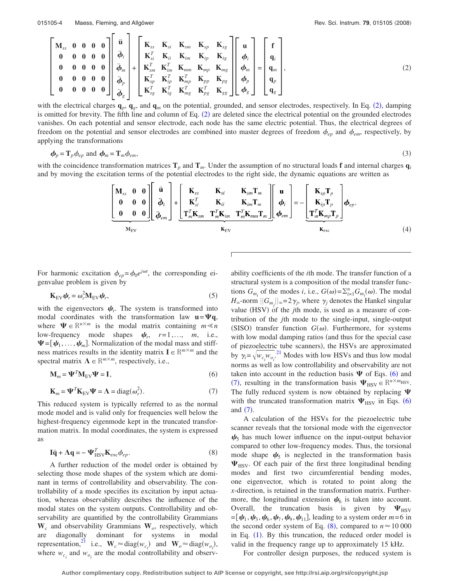<span id="page-3-0"></span>
$$
\begin{bmatrix}\n\mathbf{M}_{ss} & \mathbf{0} & \mathbf{0} & \mathbf{0} & \mathbf{0} & \mathbf{0} \\
\mathbf{0} & \mathbf{0} & \mathbf{0} & \mathbf{0} & \mathbf{0} & \mathbf{0} \\
\mathbf{0} & \mathbf{0} & \mathbf{0} & \mathbf{0} & \mathbf{0} & \mathbf{0} \\
\mathbf{0} & \mathbf{0} & \mathbf{0} & \mathbf{0} & \mathbf{0} & \mathbf{0} \\
\mathbf{0} & \mathbf{0} & \mathbf{0} & \mathbf{0} & \mathbf{0} & \mathbf{0} \\
\mathbf{0} & \mathbf{0} & \mathbf{0} & \mathbf{0} & \mathbf{0} & \mathbf{0} \\
\mathbf{0} & \mathbf{0} & \mathbf{0} & \mathbf{0} & \mathbf{0} & \mathbf{0}\n\end{bmatrix}\n\begin{bmatrix}\n\ddot{\mathbf{u}} \\
\ddot{\boldsymbol{\phi}}_i \\
\ddot{\mathbf{w}}_m^T & \mathbf{K}_{si}^T & \mathbf{K}_{im}^T & \mathbf{K}_{im} & \mathbf{K}_{ip} & \mathbf{K}_{ig} \\
\mathbf{K}_{sm}^T & \mathbf{K}_{im}^T & \mathbf{K}_{mn}^T & \mathbf{K}_{mp} & \mathbf{K}_{mp} \\
\mathbf{K}_{sp}^T & \mathbf{K}_{ip}^T & \mathbf{K}_{mp}^T & \mathbf{K}_{pp} & \mathbf{K}_{pg} \\
\mathbf{K}_{sp}^T & \mathbf{K}_{ip}^T & \mathbf{K}_{mp}^T & \mathbf{K}_{sp}^T & \mathbf{K}_{gg} \\
\mathbf{K}_{sg}^T & \mathbf{K}_{ig}^T & \mathbf{K}_{ig}^T & \mathbf{K}_{fg}^T & \mathbf{K}_{gg}^T\n\end{bmatrix}\n\begin{bmatrix}\n\mathbf{u} \\
\boldsymbol{\phi}_i \\
\boldsymbol{\phi}_m \\
\boldsymbol{\phi}_p \\
\boldsymbol{\phi}_p \\
\boldsymbol{\phi}_g\n\end{bmatrix}=\n\begin{bmatrix}\n\mathbf{f} \\
\mathbf{q}_i \\
\mathbf{q}_i \\
\mathbf{q}_m \\
\mathbf{q}_p \\
\mathbf{q}_g\n\end{bmatrix},
$$
\n(2)

with the electrical charges  $\mathbf{q}_p$ ,  $\mathbf{q}_g$ , and  $\mathbf{q}_m$  on the potential, grounded, and sensor electrodes, respectively. In Eq. ([2](#page-3-0)), damping is omitted for brevity. The fifth line and column of Eq.  $(2)$  $(2)$  $(2)$  are deleted since the electrical potential on the grounded electrodes vanishes. On each potential and sensor electrode, each node has the same electric potential. Thus, the electrical degrees of freedom on the potential and sensor electrodes are combined into master degrees of freedom  $\phi_{ep}$  and  $\phi_{em}$ , respectively, by applying the transformations

$$
\boldsymbol{\phi}_p = \mathbf{T}_p \boldsymbol{\phi}_{ep} \text{ and } \boldsymbol{\phi}_m = \mathbf{T}_m \boldsymbol{\phi}_{em},
$$
\n(3)

with the coincidence transformation matrices  $\mathbf{T}_p$  and  $\mathbf{T}_m$ . Under the assumption of no structural loads **f** and internal charges  $\mathbf{q}_i$ and by moving the excitation terms of the potential electrodes to the right side, the dynamic equations are written as

$$
\left[\begin{array}{cc} \mathbf{M}_{ss} & \mathbf{0} & \mathbf{0} \\ \mathbf{0} & \mathbf{0} & \mathbf{0} \\ \mathbf{0} & \mathbf{0} & \mathbf{0} \end{array}\right] \left[\begin{array}{c} \ddot{\mathbf{u}} \\ \ddot{\boldsymbol{\phi}}_i \\ \ddot{\boldsymbol{\phi}}_{em} \end{array}\right] + \left[\begin{array}{cc} \mathbf{K}_{ss} & \mathbf{K}_{si} & \mathbf{K}_{sm}\mathbf{T}_m \\ \mathbf{K}_{si}^T & \mathbf{K}_{im}\mathbf{T}_m \\ \mathbf{K}_{si}^T & \mathbf{K}_{im}\mathbf{T}_m^T\mathbf{K}_{mm}\mathbf{T}_m^T\mathbf{K}_{mm}\mathbf{T}_m \end{array}\right] \left[\begin{array}{c} \mathbf{u} \\ \boldsymbol{\phi}_i \\ \boldsymbol{\phi}_i \\ \boldsymbol{\phi}_{em} \end{array}\right] = -\left[\begin{array}{c} \mathbf{K}_{sp}\mathbf{T}_p \\ \mathbf{K}_{ip}\mathbf{T}_p \\ \mathbf{K}_{ip}\mathbf{T}_p \\ \mathbf{T}_m^T\mathbf{K}_{mp}\mathbf{T}_p \end{array}\right] \boldsymbol{\phi}_{ep}.
$$
\n
$$
\mathbf{M}_{\text{EV}} \qquad (4)
$$

For harmonic excitation  $\phi_{ep} = \phi_0 e^{j\omega t}$ , the corresponding eigenvalue problem is given by

$$
\mathbf{K}_{\text{EV}}\boldsymbol{\psi}_r = \omega_r^2 \mathbf{M}_{\text{EV}}\boldsymbol{\psi}_r,\tag{5}
$$

with the eigenvectors  $\psi_r$ . The system is transformed into modal coordinates with the transformation law  $\mathbf{u} = \Psi \mathbf{q}$ , where  $\Psi \in \mathbb{R}^{n \times m}$  is the modal matrix containing  $m \ll n$ low-frequency mode shapes  $\psi_r$ ,  $r=1,..., m$ , i.e.,  $\Psi = [\psi_1, \dots, \psi_m]$ . Normalization of the modal mass and stiffness matrices results in the identity matrix  $\mathbf{I} \in \mathbb{R}^{m \times m}$  and the spectral matrix  $\Lambda \in \mathbb{R}^{m \times m}$ , respectively, i.e.,

<span id="page-3-1"></span>
$$
\mathbf{M}_m = \mathbf{\Psi}^T \mathbf{M}_{\text{EV}} \mathbf{\Psi} = \mathbf{I},\tag{6}
$$

<span id="page-3-2"></span>
$$
\mathbf{K}_m = \mathbf{\Psi}^T \mathbf{K}_{\text{EV}} \mathbf{\Psi} = \mathbf{\Lambda} = \text{diag}(\omega_r^2). \tag{7}
$$

This reduced system is typically referred to as the normal mode model and is valid only for frequencies well below the highest-frequency eigenmode kept in the truncated transformation matrix. In modal coordinates, the system is expressed as

$$
\mathbf{I}\ddot{\mathbf{q}} + \mathbf{\Lambda}\mathbf{q} = -\mathbf{\Psi}_{\mathrm{HSV}}^T \mathbf{K}_{\mathrm{exc}} \phi_{ep}.
$$
 (8)

<span id="page-3-3"></span>A further reduction of the model order is obtained by selecting those mode shapes of the system which are dominant in terms of controllability and observability. The controllability of a mode specifies its excitation by input actuation, whereas observability describes the influence of the modal states on the system outputs. Controllability and observability are quantified by the controllability Grammians **W***<sup>c</sup>* and observability Grammians **W***o*, respectively, which are diagonally dominant for systems in modal representation,<sup>21</sup> i.e.,  $\mathbf{W}_c \approx \text{diag}(w_{c_i})$  and  $\mathbf{W}_o \approx \text{diag}(w_{o_i})$ , where  $w_{c_i}$  and  $w_{o_i}$  are the modal controllability and observability coefficients of the *i*th mode. The transfer function of a structural system is a composition of the modal transfer functions  $G_{m_i}$  of the modes *i*, i.e.,  $G(\omega) = \sum_{i=1}^n G_{m_i}(\omega)$ . The modal  $H_{\infty}$ -norm  $||G_{m_j}||_{\infty} = 2\gamma_j$ , where  $\gamma_j$  denotes the Hankel singular value (HSV) of the *j*th mode, is used as a measure of contribution of the *j*th mode to the single-input, single-output (SISO) transfer function  $G(\omega)$ . Furthermore, for systems with low modal damping ratios (and thus for the special case of piezoelectric tube scanners), the HSVs are approximated by  $\gamma_i = \sqrt{w_{c_i} w_{o_i}}^{21}$  $\gamma_i = \sqrt{w_{c_i} w_{o_i}}^{21}$  $\gamma_i = \sqrt{w_{c_i} w_{o_i}}^{21}$  Modes with low HSVs and thus low modal norms as well as low controllability and observability are not taken into account in the reduction basis  $\Psi$  of Eqs. ([6](#page-3-1)) and ([7](#page-3-2)), resulting in the transformation basis  $\Psi_{\text{HSV}} \in \mathbb{R}^{n \times m_{\text{HSV}}}.$ The fully reduced system is now obtained by replacing  $\Psi$ with the truncated transformation matrix  $\Psi_{\rm HSV}$  in Eqs. ([6](#page-3-1)) and  $(7)$  $(7)$  $(7)$ .

A calculation of the HSVs for the piezoelectric tube scanner reveals that the torsional mode with the eigenvector  $\psi_5$  has much lower influence on the input-output behavior compared to other low-frequency modes. Thus, the torsional mode shape  $\psi_5$  is neglected in the transformation basis  $\Psi_{\rm HSV}$ . Of each pair of the first three longitudinal bending modes and first two circumferential bending modes, one eigenvector, which is rotated to point along the *x*-direction, is retained in the transformation matrix. Furthermore, the longitudinal extension  $\psi_6$  is taken into account. Overall, the truncation basis is given by  $\Psi_{\text{HSV}}$  $=[\psi_1, \psi_3, \psi_6, \psi_7, \psi_9, \psi_{11}]$ , leading to a system order *m*=6 in the second order system of Eq.  $(8)$  $(8)$  $(8)$ , compared to  $n \approx 10000$ in Eq.  $(1)$  $(1)$  $(1)$ . By this truncation, the reduced order model is valid in the frequency range up to approximately 15 kHz.

For controller design purposes, the reduced system is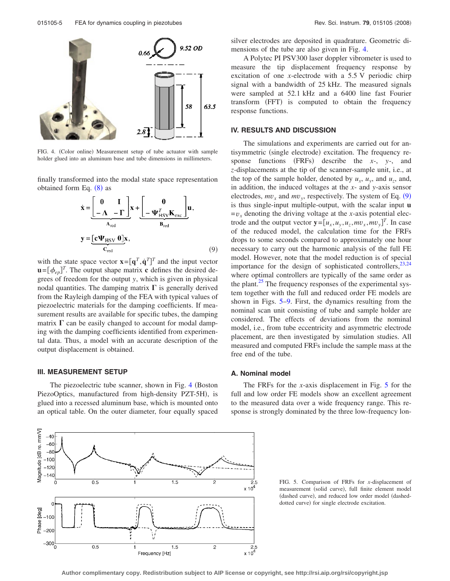<span id="page-4-0"></span>

FIG. 4. (Color online) Measurement setup of tube actuator with sample holder glued into an aluminum base and tube dimensions in millimeters.

<span id="page-4-1"></span>finally transformed into the modal state space representation obtained form Eq. ([8](#page-3-3)) as

$$
\dot{\mathbf{x}} = \underbrace{\begin{bmatrix} \mathbf{0} & \mathbf{I} \\ -\mathbf{\Lambda} & -\mathbf{\Gamma} \end{bmatrix}}_{\mathbf{A}_{\text{red}}} \mathbf{x} + \underbrace{\begin{bmatrix} \mathbf{0} \\ -\mathbf{\Psi}_{\text{HSV}}^T \mathbf{K}_{\text{exc}} \end{bmatrix}}_{\mathbf{B}_{\text{red}}} \mathbf{u},
$$
\n
$$
\mathbf{y} = \underbrace{\begin{bmatrix} \mathbf{c}\mathbf{\Psi}_{\text{HSV}} \mathbf{0} \end{bmatrix} \mathbf{x}}_{\mathbf{C}_{\text{red}}},
$$
\n(9)

with the state space vector  $\mathbf{x} = [\mathbf{q}^T, \dot{\mathbf{q}}^T]^T$  and the input vector  $\mathbf{u} = [\phi_{ep}]^T$ . The output shape matrix **c** defines the desired degrees of freedom for the output *y*, which is given in physical nodal quantities. The damping matrix  $\Gamma$  is generally derived from the Rayleigh damping of the FEA with typical values of piezoelectric materials for the damping coefficients. If measurement results are available for specific tubes, the damping matrix  $\Gamma$  can be easily changed to account for modal damping with the damping coefficients identified from experimental data. Thus, a model with an accurate description of the output displacement is obtained.

# **III. MEASUREMENT SETUP**

 $0.5$ 

<span id="page-4-2"></span>Magnitude [dB re. mm/V]

peb] esenc

 $-300$ 

The piezoelectric tube scanner, shown in Fig. [4](#page-4-0) (Boston PiezoOptics, manufactured from high-density PZT-5H), is glued into a recessed aluminum base, which is mounted onto an optical table. On the outer diameter, four equally spaced



Frequency [Hz]

 $1.5$ 

silver electrodes are deposited in quadrature. Geometric dimensions of the tube are also given in Fig. [4.](#page-4-0)

A Polytec PI PSV300 laser doppler vibrometer is used to measure the tip displacement frequency response by excitation of one *x*-electrode with a 5.5 V periodic chirp signal with a bandwidth of 25 kHz. The measured signals were sampled at 52.1 kHz and a 6400 line fast Fourier transform (FFT) is computed to obtain the frequency response functions.

#### **IV. RESULTS AND DISCUSSION**

The simulations and experiments are carried out for antisymmetric (single electrode) excitation. The frequency response functions (FRFs) describe the  $x$ -,  $y$ -, and *z*-displacements at the tip of the scanner-sample unit, i.e., at the top of the sample holder, denoted by  $u_x$ ,  $u_y$ , and  $u_z$ , and, in addition, the induced voltages at the *x*- and *y*-axis sensor electrodes,  $mv_x$  and  $mv_y$ , respectively. The system of Eq. ([9](#page-4-1)) is thus single-input multiple-output, with the scalar input **u**  $=v_x$  denoting the driving voltage at the *x*-axis potential electrode and the output vector  $\mathbf{y} = [u_x, u_y, u_z, mv_x, mv_y]^T$ . In case of the reduced model, the calculation time for the FRFs drops to some seconds compared to approximately one hour necessary to carry out the harmonic analysis of the full FE model. However, note that the model reduction is of special importance for the design of sophisticated controllers,  $23,24$  $23,24$ where optimal controllers are typically of the same order as the plant. $25$  The frequency responses of the experimental system together with the full and reduced order FE models are shown in Figs. [5](#page-4-2)[–9.](#page-6-0) First, the dynamics resulting from the nominal scan unit consisting of tube and sample holder are considered. The effects of deviations from the nominal model, i.e., from tube eccentricity and asymmetric electrode placement, are then investigated by simulation studies. All measured and computed FRFs include the sample mass at the free end of the tube.

### **A. Nominal model**

The FRFs for the *x*-axis displacement in Fig. [5](#page-4-2) for the full and low order FE models show an excellent agreement to the measured data over a wide frequency range. This response is strongly dominated by the three low-frequency lon-

FIG. 5. Comparison of FRFs for *x*-displacement of measurement (solid curve), full finite element model (dashed curve), and reduced low order model (dasheddotted curve) for single electrode excitation.

2.5  $x 10^{4}$ 

 $\overline{2}$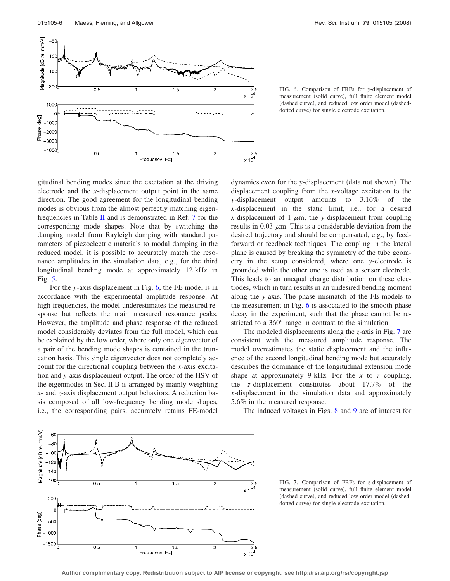<span id="page-5-0"></span>

FIG. 6. Comparison of FRFs for *y*-displacement of measurement (solid curve), full finite element model (dashed curve), and reduced low order model (dasheddotted curve) for single electrode excitation.

gitudinal bending modes since the excitation at the driving electrode and the *x*-displacement output point in the same direction. The good agreement for the longitudinal bending modes is obvious from the almost perfectly matching eigenfrequencies in Table [II](#page-2-1) and is demonstrated in Ref. [7](#page-8-6) for the corresponding mode shapes. Note that by switching the damping model from Rayleigh damping with standard parameters of piezoelectric materials to modal damping in the reduced model, it is possible to accurately match the resonance amplitudes in the simulation data, e.g., for the third longitudinal bending mode at approximately 12 kHz in Fig. [5.](#page-4-2)

For the *y*-axis displacement in Fig. [6,](#page-5-0) the FE model is in accordance with the experimental amplitude response. At high frequencies, the model underestimates the measured response but reflects the main measured resonance peaks. However, the amplitude and phase response of the reduced model considerably deviates from the full model, which can be explained by the low order, where only one eigenvector of a pair of the bending mode shapes is contained in the truncation basis. This single eigenvector does not completely account for the directional coupling between the *x*-axis excitation and *y*-axis displacement output. The order of the HSV of the eigenmodes in Sec. II B is arranged by mainly weighting *x*- and *z*-axis displacement output behaviors. A reduction basis composed of all low-frequency bending mode shapes, i.e., the corresponding pairs, accurately retains FE-model

dynamics even for the *y*-displacement (data not shown). The displacement coupling from the *x*-voltage excitation to the *y*-displacement output amounts to 3.16% of the *x*-displacement in the static limit, i.e., for a desired *x*-displacement of 1  $\mu$ m, the *y*-displacement from coupling results in 0.03  $\mu$ m. This is a considerable deviation from the desired trajectory and should be compensated, e.g., by feedforward or feedback techniques. The coupling in the lateral plane is caused by breaking the symmetry of the tube geometry in the setup considered, where one *y*-electrode is grounded while the other one is used as a sensor electrode. This leads to an unequal charge distribution on these electrodes, which in turn results in an undesired bending moment along the *y*-axis. The phase mismatch of the FE models to the measurement in Fig. [6](#page-5-0) is associated to the smooth phase decay in the experiment, such that the phase cannot be restricted to a 360° range in contrast to the simulation.

The modeled displacements along the *z*-axis in Fig. [7](#page-5-1) are consistent with the measured amplitude response. The model overestimates the static displacement and the influence of the second longitudinal bending mode but accurately describes the dominance of the longitudinal extension mode shape at approximately 9 kHz. For the *x* to *z* coupling, the *z*-displacement constitutes about 17.7% of the *x*-displacement in the simulation data and approximately 5.6% in the measured response.

The induced voltages in Figs. [8](#page-6-1) and [9](#page-6-0) are of interest for

<span id="page-5-1"></span>Magnitude [dB re. mm/V] -60  $-80$  $-100$  $-120$  $-140$  $-160$  $0.5$  $\overline{1}$  $\overline{1.5}$  $\overline{2}$  $2.5$  $\times 10^4$ 500 Phase [deg]  $-500$  $-1000$  $-1500$  $0.5$  $1.5$  $\overline{2}$  $\overline{2.5}$ Frequency [Hz]  $\times$  10<sup>4</sup>

FIG. 7. Comparison of FRFs for *z*-displacement of measurement (solid curve), full finite element model (dashed curve), and reduced low order model (dasheddotted curve) for single electrode excitation.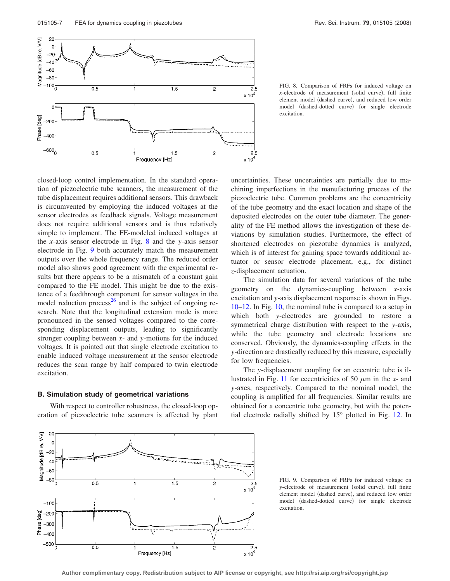<span id="page-6-1"></span>

FIG. 8. Comparison of FRFs for induced voltage on *x*-electrode of measurement (solid curve), full finite element model (dashed curve), and reduced low order model (dashed-dotted curve) for single electrode excitation.

closed-loop control implementation. In the standard operation of piezoelectric tube scanners, the measurement of the tube displacement requires additional sensors. This drawback is circumvented by employing the induced voltages at the sensor electrodes as feedback signals. Voltage measurement does not require additional sensors and is thus relatively simple to implement. The FE-modeled induced voltages at the *x*-axis sensor electrode in Fig. [8](#page-6-1) and the *y*-axis sensor electrode in Fig. [9](#page-6-0) both accurately match the measurement outputs over the whole frequency range. The reduced order model also shows good agreement with the experimental results but there appears to be a mismatch of a constant gain compared to the FE model. This might be due to the existence of a feedthrough component for sensor voltages in the model reduction process<sup>26</sup> and is the subject of ongoing research. Note that the longitudinal extension mode is more pronounced in the sensed voltages compared to the corresponding displacement outputs, leading to significantly stronger coupling between *x*- and *y*-motions for the induced voltages. It is pointed out that single electrode excitation to enable induced voltage measurement at the sensor electrode reduces the scan range by half compared to twin electrode excitation.

#### **B. Simulation study of geometrical variations**

With respect to controller robustness, the closed-loop operation of piezoelectric tube scanners is affected by plant uncertainties. These uncertainties are partially due to machining imperfections in the manufacturing process of the piezoelectric tube. Common problems are the concentricity of the tube geometry and the exact location and shape of the deposited electrodes on the outer tube diameter. The generality of the FE method allows the investigation of these deviations by simulation studies. Furthermore, the effect of shortened electrodes on piezotube dynamics is analyzed, which is of interest for gaining space towards additional actuator or sensor electrode placement, e.g., for distinct *z*-displacement actuation.

The simulation data for several variations of the tube geometry on the dynamics-coupling between *x*-axis excitation and *y*-axis displacement response is shown in Figs. [10](#page-7-0)[–12.](#page-7-1) In Fig. [10,](#page-7-0) the nominal tube is compared to a setup in which both *y*-electrodes are grounded to restore a symmetrical charge distribution with respect to the *y*-axis, while the tube geometry and electrode locations are conserved. Obviously, the dynamics-coupling effects in the *y*-direction are drastically reduced by this measure, especially for low frequencies.

The *y*-displacement coupling for an eccentric tube is il-lustrated in Fig. [11](#page-7-2) for eccentricities of 50  $\mu$ m in the *x*- and *y*-axes, respectively. Compared to the nominal model, the coupling is amplified for all frequencies. Similar results are obtained for a concentric tube geometry, but with the potential electrode radially shifted by 15° plotted in Fig. [12.](#page-7-1) In

<span id="page-6-0"></span>

FIG. 9. Comparison of FRFs for induced voltage on *y*-electrode of measurement (solid curve), full finite element model (dashed curve), and reduced low order model (dashed-dotted curve) for single electrode excitation.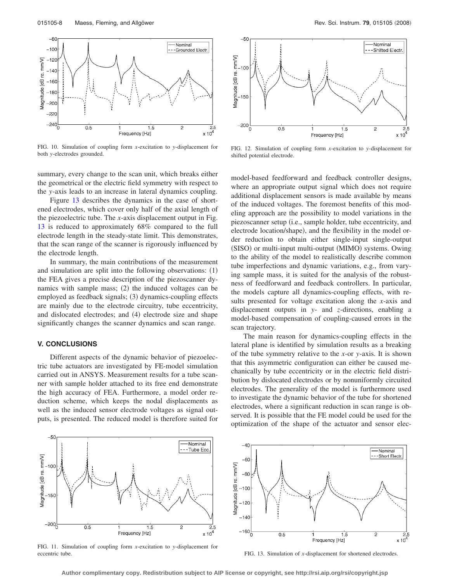<span id="page-7-0"></span>

FIG. 10. Simulation of coupling form *x*-excitation to *y*-displacement for both *y*-electrodes grounded.

summary, every change to the scan unit, which breaks either the geometrical or the electric field symmetry with respect to the *y*-axis leads to an increase in lateral dynamics coupling.

Figure [13](#page-7-3) describes the dynamics in the case of shortened electrodes, which cover only half of the axial length of the piezoelectric tube. The *x*-axis displacement output in Fig. [13](#page-7-3) is reduced to approximately 68% compared to the full electrode length in the steady-state limit. This demonstrates, that the scan range of the scanner is rigorously influenced by the electrode length.

In summary, the main contributions of the measurement and simulation are split into the following observations: (1) the FEA gives a precise description of the piezoscanner dynamics with sample mass; (2) the induced voltages can be employed as feedback signals; (3) dynamics-coupling effects are mainly due to the electrode circuitry, tube eccentricity, and dislocated electrodes; and (4) electrode size and shape significantly changes the scanner dynamics and scan range.

### **V. CONCLUSIONS**

Different aspects of the dynamic behavior of piezoelectric tube actuators are investigated by FE-model simulation carried out in ANSYS. Measurement results for a tube scanner with sample holder attached to its free end demonstrate the high accuracy of FEA. Furthermore, a model order reduction scheme, which keeps the nodal displacements as well as the induced sensor electrode voltages as signal outputs, is presented. The reduced model is therefore suited for

<span id="page-7-1"></span>

FIG. 12. Simulation of coupling form *x*-excitation to *y*-displacement for shifted potential electrode.

model-based feedforward and feedback controller designs, where an appropriate output signal which does not require additional displacement sensors is made available by means of the induced voltages. The foremost benefits of this modeling approach are the possibility to model variations in the piezoscanner setup (i.e., sample holder, tube eccentricity, and electrode location/shape), and the flexibility in the model order reduction to obtain either single-input single-output (SISO) or multi-input multi-output (MIMO) systems. Owing to the ability of the model to realistically describe common tube imperfections and dynamic variations, e.g., from varying sample mass, it is suited for the analysis of the robustness of feedforward and feedback controllers. In particular, the models capture all dynamics-coupling effects, with results presented for voltage excitation along the *x*-axis and displacement outputs in *y*- and *z*-directions, enabling a model-based compensation of coupling-caused errors in the scan trajectory.

The main reason for dynamics-coupling effects in the lateral plane is identified by simulation results as a breaking of the tube symmetry relative to the *x*-or *y*-axis. It is shown that this asymmetric configuration can either be caused mechanically by tube eccentricity or in the electric field distribution by dislocated electrodes or by nonuniformly circuited electrodes. The generality of the model is furthermore used to investigate the dynamic behavior of the tube for shortened electrodes, where a significant reduction in scan range is observed. It is possible that the FE model could be used for the optimization of the shape of the actuator and sensor elec-

<span id="page-7-2"></span>

FIG. 11. Simulation of coupling form *x*-excitation to *y*-displacement for eccentric tube

<span id="page-7-3"></span>

FIG. 13. Simulation of *x*-displacement for shortened electrodes.

**Author complimentary copy. Redistribution subject to AIP license or copyright, see http://rsi.aip.org/rsi/copyright.jsp**